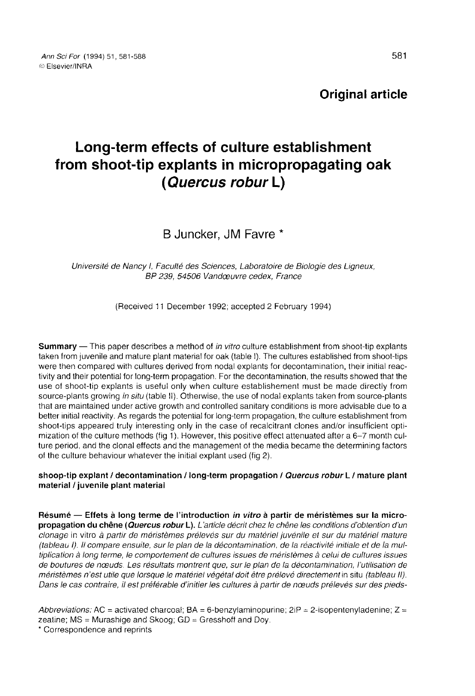Original article

# Long-term effects of culture establishment from shoot-tip explants in micropropagating oak (Quercus robur L)

B Juncker, JM Favre

Université de Nancy I, Faculté des Sciences, Laboratoire de Biologie des Ligneux, BP 239, 54506 Vandœuvre cedex, France

(Received 11 December 1992; accepted 2 February 1994)

Summary — This paper describes a method of in vitro culture establishment from shoot-tip explants taken from juvenile and mature plant material for oak (table I). The cultures established from shoot-tips were then compared with cultures derived from nodal explants for decontamination, their initial reactivity and their potential for long-term propagation. For the decontamination, the results showed that the use of shoot-tip explants is useful only when culture establishement must be made directly from source-plants growing in situ (table II). Otherwise, the use of nodal explants taken from source-plants that are maintained under active growth and controlled sanitary conditions is more advisable due to a better initial reactivity. As regards the potential for long-term propagation, the culture establishment from shoot-tips appeared truly interesting only in the case of recalcitrant clones and/or insufficient optimization of the culture methods (fig 1). However, this positive effect attenuated after a 6-7 month culture period, and the clonal effects and the management of the media became the determining factors of the culture behaviour whatever the initial explant used (fig 2).

shoop-tip explant / decontamination / long-term propagation / Quercus robur L / mature plant material / juvenile plant material

Résumé — Effets à long terme de l'introduction in vitro à partir de méristèmes sur la micropropagation du chêne (Quercus robur L). L'article décrit chez le chêne les conditions d'obtention d'un clonage in vitro à partir de méristèmes prélevés sur du matériel juvénile et sur du matériel mature (tableau I). Il compare ensuite, sur le plan de la décontamination, de la réactivité initiale et de la multiplication à long terme, le comportement de cultures issues de méristèmes à celui de cultures issues de boutures de nœuds Les résultats montrent que, sur le plan de la décontamination, l'utilisation de méristèmes n'est utile que lorsque le matériel végétal doit être prélevé directement in situ (tableau II). Dans le cas contraire, il est préférable d'initier les cultures à partir de nœuds prélevés sur des pieds-

Abbreviations: AC = activated charcoal;  $BA = 6$ -benzylaminopurine;  $2IP = 2$ -isopentenyladenine;  $Z =$ zeatine; MS = Murashige and Skoog; GD = Gresshoff and Doy.<br>\* Correspondence and reprints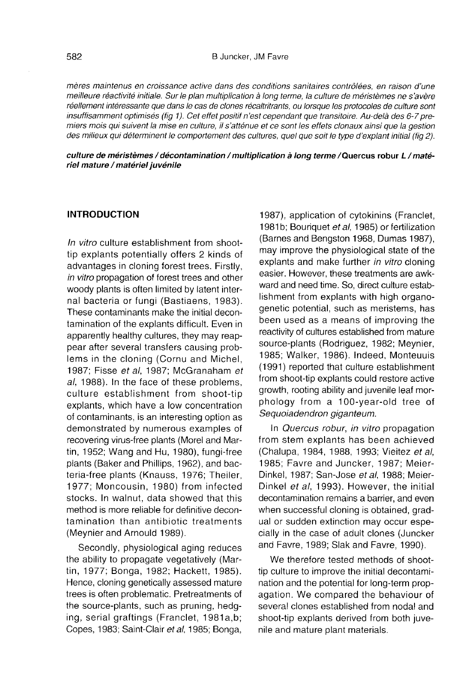mères maintenus en croissance active dans des conditions sanitaires contrôlées, en raison d'une meilleure réactivité initiale. Sur le plan multiplication à long terme, la culture de méristèmes ne s'avère réellement intéressante que dans le cas de clones récaltritrants, ou lorsque les protocoles de culture sont insuffisamment optimisés (fig 1). Cet effet positif n'est cependant que transitoire. Au-delà des 6-7 premiers mois qui suivent la mise en culture, il s'atténue et ce sont les effets clonaux ainsi que la gestion des milieux qui déterminent le comportement des cultures, quel que soit le type d'explant initial (fig 2).

culture de méristèmes / décontamination / multiplication à long terme/Quercus robur L/matériel mature / matériel juvénile

## INTRODUCTION

In vitro culture establishment from shoottip explants potentially offers 2 kinds of advantages in cloning forest trees. Firstly, in vitro propagation of forest trees and other woody plants is often limited by latent internal bacteria or fungi (Bastiaens, 1983). These contaminants make the initial decontamination of the explants difficult. Even in apparently healthy cultures, they may reappear after several transfers causing problems in the cloning (Cornu and Michel, 1987; Fisse et al, 1987; McGranaham et al, 1988). In the face of these problems, culture establishment from shoot-tip explants, which have a low concentration of contaminants, is an interesting option as demonstrated by numerous examples of recovering virus-free plants (Morel and Martin, 1952; Wang and Hu, 1980), fungi-free plants (Baker and Phillips, 1962), and bacteria-free plants (Knauss, 1976; Theiler, 1977; Moncousin, 1980) from infected stocks. In walnut, data showed that this method is more reliable for definitive decontamination than antibiotic treatments (Meynier and Arnould 1989).

Secondly, physiological aging reduces the ability to propagate vegetatively (Martin, 1977; Bonga, 1982; Hackett, 1985). Hence, cloning genetically assessed mature trees is often problematic. Pretreatments of the source-plants, such as pruning, hedging, serial graftings (Franclet, 1981a,b; Copes, 1983; Saint-Clair et al, 1985; Bonga,

1987), application of cytokinins (Franclet, 1981b; Bouriquet et al, 1985) or fertilization (Barnes and Bengston 1968, Dumas 1987), may improve the physiological state of the explants and make further in vitro cloning easier. However, these treatments are awkward and need time. So, direct culture establishment from explants with high organogenetic potential, such as meristems, has been used as a means of improving the reactivity of cultures established from mature source-plants (Rodriguez, 1982; Meynier, 1985; Walker, 1986). Indeed, Monteuuis (1991) reported that culture establishment from shoot-tip explants could restore active growth, rooting ability and juvenile leaf morphology from a 100-year-old tree of Sequoiadendron giganteum.

In Quercus robur, in vitro propagation from stem explants has been achieved (Chalupa, 1984, 1988, 1993; Vieitez et al, 1985; Favre and Juncker, 1987; Meier-Dinkel, 1987; San-Jose et al, 1988; Meier-Dinkel et al, 1993). However, the initial decontamination remains a barrier, and even when successful cloning is obtained, gradual or sudden extinction may occur especially in the case of adult clones (Juncker and Favre, 1989; Slak and Favre, 1990).

We therefore tested methods of shoottip culture to improve the initial decontamination and the potential for long-term propagation. We compared the behaviour of several clones established from nodal and shoot-tip explants derived from both juvenile and mature plant materials.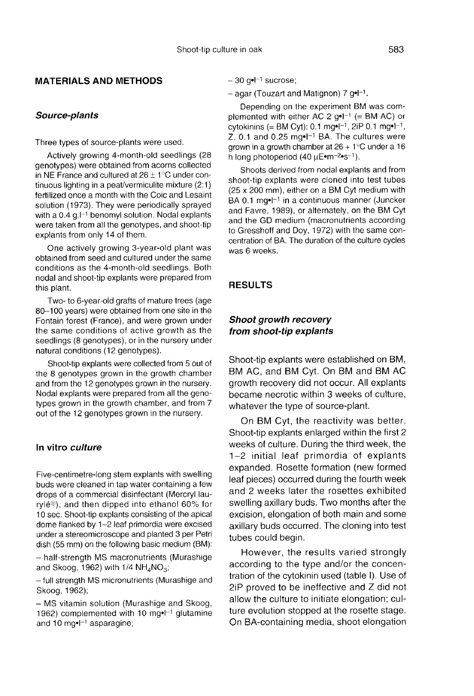# MATERIALS AND METHODS

## Source-plants

Three types of source-plants were used.

Actively growing 4-month-old seedlings (28 genotypes) were obtained from acorns collected in NE France and cultured at  $26 \pm 1^{\circ}$ C under continuous lighting in a peat/vermiculite mixture (2:1) fertilized once a month with the Coic and Lesaint solution (1973). They were periodically sprayed with a  $0.4$  g. $[-1]$  benomyl solution. Nodal explants were taken from all the genotypes, and shoot-tip explants from only 14 of them.

One actively growing 3-year-old plant was obtained from seed and cultured under the same conditions as the 4-month-old seedlings. Both nodal and shoot-tip explants were prepared from this plant.

Two- to 6-year-old grafts of mature trees (age 80-100 years) were obtained from one site in the Fontain forest (France), and were grown under the same conditions of active growth as the seedlings (8 genotypes), or in the nursery under natural conditions (12 genotypes).

Shoot-tip explants were collected from 5 out of the 8 genotypes grown in the growth chamber and from the 12 genotypes grown in the nursery. Nodal explants were prepared from all the genotypes grown in the growth chamber, and from 7 out of the 12 genotypes grown in the nursery.

# In vitro culture

Five-centimetre-long stem explants with swelling buds were cleaned in tap water containing a few drops of a commercial disinfectant (Mercryl laurylé®), and then dipped into ethanol 60% for 10 sec. Shoot-tip explants consisting of the apical dome flanked by 1-2 leaf primordia were excised under a stereomicroscope and planted 3 per Petri dish (55 mm) on the following basic medium (BM):

- half-strength MS macronutrients (Murashige and Skoog, 1962) with  $1/4$  NH<sub>4</sub>NO<sub>3</sub>;

- full strength MS micronutrients (Murashige and Skoog, 1962);

- MS vitamin solution (Murashige and Skoog, 1962) complemented with 10 mg $\cdot$ -1 glutamine and 10 mg•l<sup>-1</sup> asparagine;

 $-30$  g•l<sup> $-1$ </sup> sucrose;

– 30 g∙l<sup>–1</sup> sucrose;<br>– agar (Touzart and Matignon) 7 g∙l<sup>–1</sup>.

Depending on the experiment BM was complemented with either AC 2  $g \cdot l^{-1}$  (= BM AC) or cytokinins (= BM Cyt): 0.1 mg•l<sup>-1</sup>, 2iP 0.1 mg•l<sup>-1</sup>, Z, 0.1 and 0.25 mg•l<sup>-1</sup> BA. The cultures were grown in a growth chamber at  $26 + 1^{\circ}$ C under a 16 h long photoperiod (40 μE•m<sup>-2•</sup>s<sup>-1</sup>).

Shoots derived from nodal explants and from shoot-tip explants were cloned into test tubes (25 x 200 mm), either on a BM Cyt medium with BA 0.1 mg $\cdot$ l<sup>-1</sup> in a continuous manner (Juncker and Favre, 1989), or alternately, on the BM Cyt and the GD medium (macronutrients according to Gresshoff and Doy, 1972) with the same concentration of BA. The duration of the culture cycles was 6 weeks.

#### RESULTS

#### Shoot growth recovery from shoot-tip explants

Shoot-tip explants were established on BM, BM AC, and BM Cyt. On BM and BM AC growth recovery did not occur. All explants became necrotic within 3 weeks of culture, whatever the type of source-plant.

On BM Cyt, the reactivity was better. Shoot-tip explants enlarged within the first 2 weeks of culture. During the third week, the 1-2 initial leaf primordia of explants expanded. Rosette formation (new formed leaf pieces) occurred during the fourth week and 2 weeks later the rosettes exhibited swelling axillary buds. Two months after the excision, elongation of both main and some axillary buds occurred. The cloning into test tubes could begin.

However, the results varied strongly according to the type and/or the concentration of the cytokinin used (table I). Use of 2iP proved to be ineffective and Z did not allow the culture to initiate elongation; culture evolution stopped at the rosette stage. On BA-containing media, shoot elongation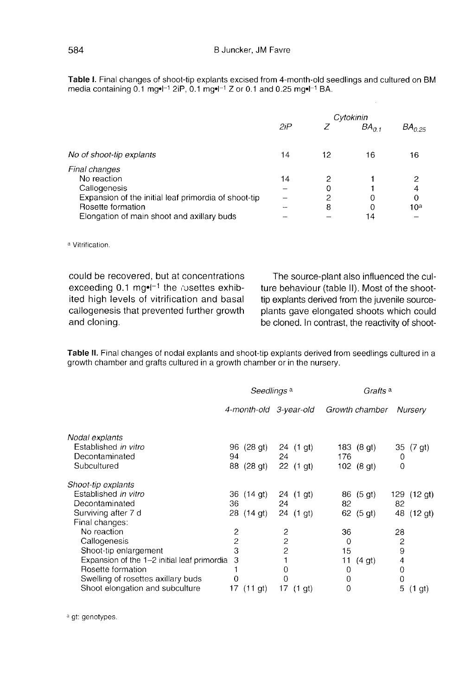Table I. Final changes of shoot-tip explants excised from 4-month-old seedlings and cultured on BM media containing  $0.1 \text{ mg} \cdot 1^{-1} 2iP$ ,  $0.1 \text{ mg} \cdot 1^{-1} Z$  or 0.1 and 0.25 mg $\cdot 1^{-1} BA$ .

|                                                      | Cytokinin |    |           |             |
|------------------------------------------------------|-----------|----|-----------|-------------|
|                                                      | 2iP       | Z  | $BA_{01}$ | $BA_{0.25}$ |
|                                                      |           |    |           |             |
| No of shoot-tip explants                             | 14        | 12 | 16        | 16          |
| Final changes                                        |           |    |           |             |
| No reaction                                          | 14        | 2  |           | 2           |
| Callogenesis                                         |           | 0  |           | 4           |
| Expansion of the initial leaf primordia of shoot-tip |           | 2  |           | $\mathbf 0$ |
| Rosette formation                                    |           | 8  |           | 10ª         |
| Elongation of main shoot and axillary buds           |           |    | 14        |             |

a Vitrification

could be recovered, but at concentrations exceeding 0.1 mg $\cdot$ <sup>1</sup> the rosettes exhibited high levels of vitrification and basal callogenesis that prevented further growth and cloning.

The source-plant also influenced the culture behaviour (table II). Most of the shoottip explants derived from the juvenile sourceplants gave elongated shoots which could be cloned. In contrast, the reactivity of shoot-

Table II. Final changes of nodal explants and shoot-tip explants derived from seedlings cultured in a growth chamber and grafts cultured in a growth chamber or in the nursery.

|                                             | Seedlings <sup>a</sup> |                        |                |             | Grafts <sup>a</sup> |                    |                |                    |
|---------------------------------------------|------------------------|------------------------|----------------|-------------|---------------------|--------------------|----------------|--------------------|
|                                             |                        | 4-month-old 3-year-old |                |             |                     | Growth chamber     |                | Nursery            |
| Nodal explants                              |                        |                        |                |             |                     |                    |                |                    |
| Established in vitro                        | 96                     | (28gt)                 |                | 24 (1 gt)   |                     | 183 (8 gt)         |                | 35 (7 gt)          |
| Decontaminated                              | 94                     |                        | 24             |             | 176                 |                    | 0              |                    |
| Subcultured                                 |                        | 88 (28 gt)             |                | 22 (1 gt)   |                     | 102 (8 gt)         | 0              |                    |
| Shoot-tip explants                          |                        |                        |                |             |                     |                    |                |                    |
| Established in vitro                        |                        | 36 (14 gt)             |                | 24 (1 gt)   |                     | 86 (5 gt)          | 129            | (12gt)             |
| Decontaminated                              | 36                     |                        | 24             |             | 82                  |                    | 82             |                    |
| Surviving after 7 d                         |                        | 28 (14 gt)             |                | $24$ (1 gt) |                     | 62 (5 gt)          | 48             | $(12$ gt)          |
| Final changes:                              |                        |                        |                |             |                     |                    |                |                    |
| No reaction                                 | 2                      |                        | 2              |             | 36                  |                    | 28             |                    |
| Callogenesis                                | 2                      |                        | $\overline{c}$ |             | 0                   |                    | $\overline{c}$ |                    |
| Shoot-tip enlargement                       | 3                      |                        | 2              |             | 15                  |                    | 9              |                    |
| Expansion of the 1-2 initial leaf primordia | З                      |                        |                |             | 11                  | (4 <sub>gt</sub> ) | 4              |                    |
| Rosette formation                           |                        |                        | 0              |             | 0                   |                    | $\mathbf 0$    |                    |
| Swelling of rosettes axillary buds          | 0                      |                        | 0              |             | $\mathbf 0$         |                    | 0              |                    |
| Shoot elongation and subculture             | 17                     | (11gt)                 | 17             | $(1$ gt)    | 0                   |                    | 5              | (1 <sub>gt</sub> ) |

<sup>a</sup> gt: genotypes.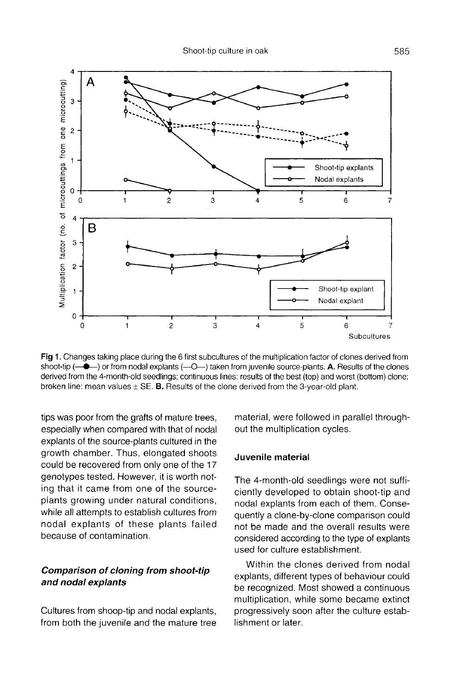

Fig 1. Changes taking place during the 6 first subcultures of the multiplication factor of clones derived from shoot-tip  $(-\bullet)$  or from nodal explants  $(-O-)$  taken from juvenile source-plants. A. Results of the clones derived from the 4-month-old seedlings; continuous lines: results of the best (top) and worst (bottom) clone; broken line: mean values  $\pm$  SE. B. Results of the clone derived from the 3-year-old plant.

tips was poor from the grafts of mature trees, especially when compared with that of nodal explants of the source-plants cultured in the growth chamber. Thus, elongated shoots could be recovered from only one of the 17 genotypes tested. However, it is worth noting that it came from one of the sourceplants growing under natural conditions, while all attempts to establish cultures from nodal explants of these plants failed because of contamination.

# Comparison of cloning from shoot-tip and nodal explants

Cultures from shoop-tip and nodal explants, from both the juvenile and the mature tree material, were followed in parallel throughout the multiplication cycles.

#### Juvenile material

The 4-month-old seedlings were not sufficiently developed to obtain shoot-tip and nodal explants from each of them. Consequently a clone-by-clone comparison could not be made and the overall results were considered according to the type of explants used for culture establishment.

Within the clones derived from nodal explants, different types of behaviour could be recognized. Most showed a continuous multiplication, while some became extinct progressively soon after the culture establishment or later.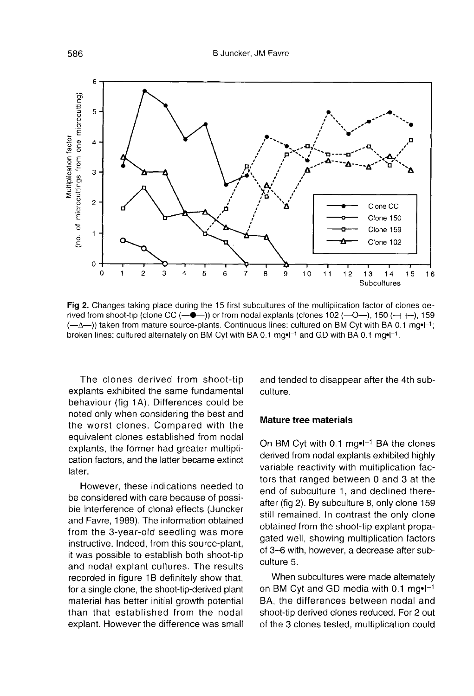

Fig 2. Changes taking place during the 15 first subcultures of the multiplication factor of clones derived from shoot-tip (clone CC  $(-\bullet-$ )) or from nodal explants (clones 102  $(-0-)$ , 150  $(-$ ] $-)$ , 159  $(-\Delta$ —1) taken from mature source-plants. Continuous lines: cultured on BM Cvt with BA 0.1 mg $\cdot$ [-1]: broken lines: cultured alternately on BM Cyt with BA 0.1 mg•l<sup>-1</sup> and GD with BA 0.1 mg•l<sup>-1</sup>.

The clones derived from shoot-tip explants exhibited the same fundamental behaviour (fig 1A). Differences could be noted only when considering the best and the worst clones. Compared with the equivalent clones established from nodal explants, the former had greater multiplication factors, and the latter became extinct later.

However, these indications needed to be considered with care because of possible interference of clonal effects (Juncker and Favre, 1989). The information obtained from the 3-year-old seedling was more instructive. Indeed, from this source-plant, it was possible to establish both shoot-tip and nodal explant cultures. The results recorded in figure 1B definitely show that, for a single clone, the shoot-tip-derived plant material has better initial growth potential than that established from the nodal explant. However the difference was small and tended to disappear after the 4th subculture.

#### Mature tree materials

On BM Cyt with 0.1 mg $\bullet$ I<sup>-1</sup> BA the clones derived from nodal explants exhibited highly variable reactivity with multiplication factors that ranged between 0 and 3 at the end of subculture 1, and declined thereafter (fig 2). By subculture 8, only clone 159 still remained. In contrast the only clone obtained from the shoot-tip explant propagated well, showing multiplication factors of 3-6 with, however, a decrease after subculture 5.

When subcultures were made alternately on BM Cyt and GD media with  $0.1 \text{ mg} \cdot 1^{-1}$ BA, the differences between nodal and shoot-tip derived clones reduced. For 2 out of the 3 clones tested, multiplication could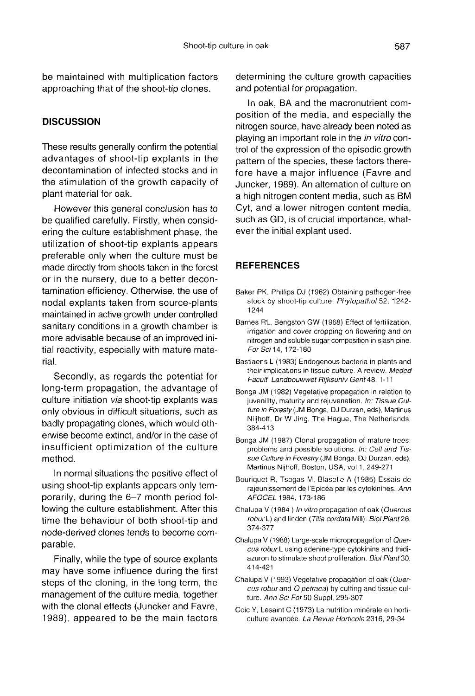be maintained with multiplication factors approaching that of the shoot-tip clones.

## **DISCUSSION**

These results generally confirm the potential advantages of shoot-tip explants in the decontamination of infected stocks and in the stimulation of the growth capacity of plant material for oak.

However this general conclusion has to be qualified carefully. Firstly, when considering the culture establishment phase, the utilization of shoot-tip explants appears preferable only when the culture must be made directly from shoots taken in the forest or in the nursery, due to a better decontamination efficiency. Otherwise, the use of nodal explants taken from source-plants maintained in active growth under controlled sanitary conditions in a growth chamber is more advisable because of an improved initial reactivity, especially with mature material.

Secondly, as regards the potential for long-term propagation, the advantage of culture initiation via shoot-tip explants was only obvious in difficult situations, such as badly propagating clones, which would otherwise become extinct, and/or in the case of insufficient optimization of the culture method.

In normal situations the positive effect of using shoot-tip explants appears only temporarily, during the 6-7 month period following the culture establishment. After this time the behaviour of both shoot-tip and node-derived clones tends to become comparable.

Finally, while the type of source explants may have some influence during the first steps of the cloning, in the long term, the management of the culture media, together with the clonal effects (Juncker and Favre, 1989), appeared to be the main factors determining the culture growth capacities and potential for propagation.

In oak, BA and the macronutrient composition of the media, and especially the nitrogen source, have already been noted as playing an important role in the in vitro control of the expression of the episodic growth pattern of the species, these factors therefore have a major influence (Favre and Juncker, 1989). An alternation of culture on a high nitrogen content media, such as BM Cyt, and a lower nitrogen content media, such as GD, is of crucial importance, whatever the initial explant used.

## **REFERENCES**

- Baker PK, Phillips DJ (1962) Obtaining pathogen-free stock by shoot-tip culture. Phytopathol 52, 1242- 1244
- Barnes RL, Bengston GW (1968) Effect of fertilization, irrigation and cover cropping on flowering and on nitrogen and soluble sugar composition in slash pine. For Sci 14, 172-180
- Bastiaens L (1983) Endogenous bacteria in plants and their implications in tissue culture. A review. Meded Facult Landbouwwet Rijksuniv Gent 48, 1-11
- Bonga JM (1982) Vegetative propagation in relation to juvenility, maturity and rejuvenation. In: Tissue Culture in Foresty (JM Bonga, DJ Durzan, eds), Martinus Niijhoff, Dr W Jing, The Hague, The Netherlands, 384-413
- Bonga JM (1987) Clonal propagation of mature trees: problems and possible solutions. In: Cell and Tissue Culture in Forestry (JM Bonga, DJ Durzan, eds), Martinus Nijhoff, Boston, USA, vol 1, 249-271
- Bouriquet R, Tsogas M, Blaselle A (1985) Essais de rajeunissement de l'Epicéa par les cytokinines. Ann AFOCEL 1984, 173-186
- Chalupa V (1984 ) In vitro propagation of oak (Quercus robur L) and linden (Tilia cordata Mill). Biol Plant 26, 374-377
- Chalupa V (1988) Large-scale micropropagation of Quercus robur L using adenine-type cytokinins and thidiazuron to stimulate shoot proliferation. Biol Plant 30, 414-421
- Chalupa V (1993) Vegetative propagation of oak (Quer cus robur and Q petraea) by cutting and tissue culture. Ann Sci For 50 Suppl, 295-307
- Coic Y, Lesaint C (1973) La nutrition minérale en horticulture avancée. La Revue Horticole 2316, 29-34